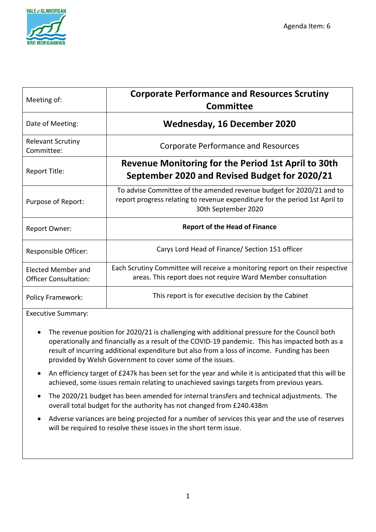

| Meeting of:                                               | <b>Corporate Performance and Resources Scrutiny</b><br><b>Committee</b>                                                                                                    |
|-----------------------------------------------------------|----------------------------------------------------------------------------------------------------------------------------------------------------------------------------|
| Date of Meeting:                                          | <b>Wednesday, 16 December 2020</b>                                                                                                                                         |
| <b>Relevant Scrutiny</b><br>Committee:                    | <b>Corporate Performance and Resources</b>                                                                                                                                 |
| Report Title:                                             | Revenue Monitoring for the Period 1st April to 30th<br>September 2020 and Revised Budget for 2020/21                                                                       |
| Purpose of Report:                                        | To advise Committee of the amended revenue budget for 2020/21 and to<br>report progress relating to revenue expenditure for the period 1st April to<br>30th September 2020 |
| <b>Report Owner:</b>                                      | <b>Report of the Head of Finance</b>                                                                                                                                       |
| Responsible Officer:                                      | Carys Lord Head of Finance/ Section 151 officer                                                                                                                            |
| <b>Elected Member and</b><br><b>Officer Consultation:</b> | Each Scrutiny Committee will receive a monitoring report on their respective<br>areas. This report does not require Ward Member consultation                               |
| <b>Policy Framework:</b>                                  | This report is for executive decision by the Cabinet                                                                                                                       |

Executive Summary:

- The revenue position for 2020/21 is challenging with additional pressure for the Council both operationally and financially as a result of the COVID-19 pandemic. This has impacted both as a result of incurring additional expenditure but also from a loss of income. Funding has been provided by Welsh Government to cover some of the issues.
- An efficiency target of £247k has been set for the year and while it is anticipated that this will be achieved, some issues remain relating to unachieved savings targets from previous years.
- The 2020/21 budget has been amended for internal transfers and technical adjustments. The overall total budget for the authority has not changed from £240.438m
- Adverse variances are being projected for a number of services this year and the use of reserves will be required to resolve these issues in the short term issue.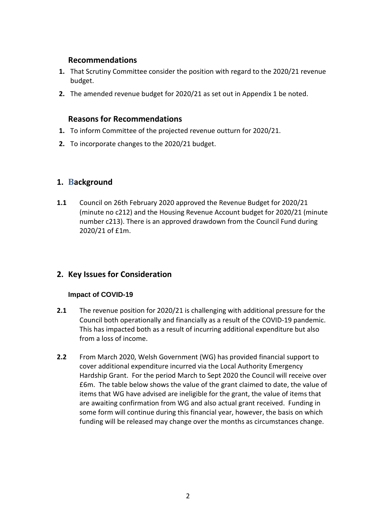### **Recommendations**

- **1.** That Scrutiny Committee consider the position with regard to the 2020/21 revenue budget.
- **2.** The amended revenue budget for 2020/21 as set out in Appendix 1 be noted.

### **Reasons for Recommendations**

- **1.** To inform Committee of the projected revenue outturn for 2020/21.
- **2.** To incorporate changes to the 2020/21 budget.

## **1. Background**

**1.1** Council on 26th February 2020 approved the Revenue Budget for 2020/21 (minute no c212) and the Housing Revenue Account budget for 2020/21 (minute number c213). There is an approved drawdown from the Council Fund during 2020/21 of £1m.

## **2. Key Issues for Consideration**

### **Impact of COVID-19**

- **2.1** The revenue position for 2020/21 is challenging with additional pressure for the Council both operationally and financially as a result of the COVID-19 pandemic. This has impacted both as a result of incurring additional expenditure but also from a loss of income.
- **2.2** From March 2020, Welsh Government (WG) has provided financial support to cover additional expenditure incurred via the Local Authority Emergency Hardship Grant. For the period March to Sept 2020 the Council will receive over £6m. The table below shows the value of the grant claimed to date, the value of items that WG have advised are ineligible for the grant, the value of items that are awaiting confirmation from WG and also actual grant received. Funding in some form will continue during this financial year, however, the basis on which funding will be released may change over the months as circumstances change.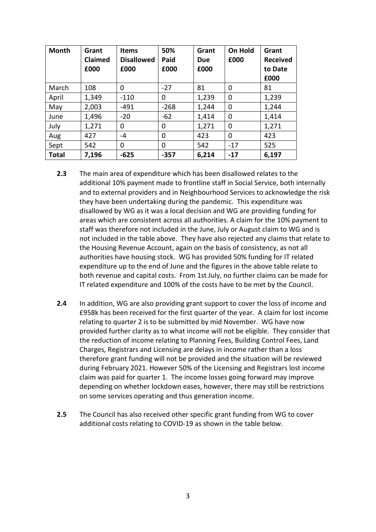| <b>Month</b> | Grant<br>Claimed<br>£000 | <b>Items</b><br><b>Disallowed</b><br>£000 | 50%<br>Paid<br>£000 | Grant<br>Due<br>£000 | On Hold<br>£000 | Grant<br><b>Received</b><br>to Date<br>£000 |
|--------------|--------------------------|-------------------------------------------|---------------------|----------------------|-----------------|---------------------------------------------|
| March        | 108                      | $\Omega$                                  | $-27$               | 81                   | $\Omega$        | 81                                          |
| April        | 1,349                    | $-110$                                    | 0                   | 1,239                | 0               | 1,239                                       |
| May          | 2,003                    | $-491$                                    | $-268$              | 1,244                | 0               | 1,244                                       |
| June         | 1,496                    | $-20$                                     | $-62$               | 1,414                | 0               | 1,414                                       |
| July         | 1,271                    | 0                                         | 0                   | 1,271                | 0               | 1,271                                       |
| Aug          | 427                      | $-4$                                      | 0                   | 423                  | 0               | 423                                         |
| Sept         | 542                      | 0                                         | 0                   | 542                  | $-17$           | 525                                         |
| <b>Total</b> | 7,196                    | $-625$                                    | $-357$              | 6,214                | $-17$           | 6,197                                       |

- **2.3** The main area of expenditure which has been disallowed relates to the additional 10% payment made to frontline staff in Social Service, both internally and to external providers and in Neighbourhood Services to acknowledge the risk they have been undertaking during the pandemic. This expenditure was disallowed by WG as it was a local decision and WG are providing funding for areas which are consistent across all authorities. A claim for the 10% payment to staff was therefore not included in the June, July or August claim to WG and is not included in the table above. They have also rejected any claims that relate to the Housing Revenue Account, again on the basis of consistency, as not all authorities have housing stock. WG has provided 50% funding for IT related expenditure up to the end of June and the figures in the above table relate to both revenue and capital costs. From 1st July, no further claims can be made for IT related expenditure and 100% of the costs have to be met by the Council.
- **2.4** In addition, WG are also providing grant support to cover the loss of income and £958k has been received for the first quarter of the year. A claim for lost income relating to quarter 2 is to be submitted by mid November. WG have now provided further clarity as to what income will not be eligible. They consider that the reduction of income relating to Planning Fees, Building Control Fees, Land Charges, Registrars and Licensing are delays in income rather than a loss therefore grant funding will not be provided and the situation will be reviewed during February 2021. However 50% of the Licensing and Registrars lost income claim was paid for quarter 1. The income losses going forward may improve depending on whether lockdown eases, however, there may still be restrictions on some services operating and thus generation income.
- **2.5** The Council has also received other specific grant funding from WG to cover additional costs relating to COVID-19 as shown in the table below.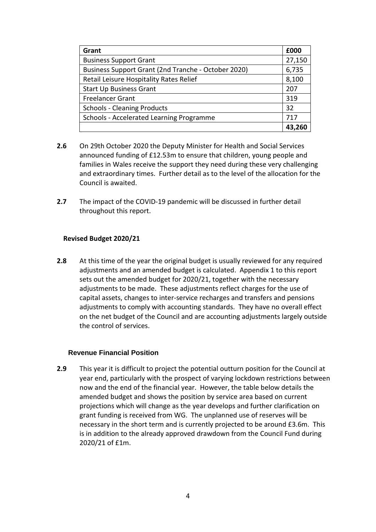| Grant                                               | £000   |  |  |
|-----------------------------------------------------|--------|--|--|
| <b>Business Support Grant</b>                       |        |  |  |
| Business Support Grant (2nd Tranche - October 2020) | 6,735  |  |  |
| Retail Leisure Hospitality Rates Relief             | 8,100  |  |  |
| <b>Start Up Business Grant</b>                      |        |  |  |
| <b>Freelancer Grant</b>                             | 319    |  |  |
| <b>Schools - Cleaning Products</b>                  | 32     |  |  |
| Schools - Accelerated Learning Programme            |        |  |  |
|                                                     | 43,260 |  |  |

- **2.6** On 29th October 2020 the Deputy Minister for Health and Social Services announced funding of £12.53m to ensure that children, young people and families in Wales receive the support they need during these very challenging and extraordinary times. Further detail as to the level of the allocation for the Council is awaited.
- **2.7** The impact of the COVID-19 pandemic will be discussed in further detail throughout this report.

### **Revised Budget 2020/21**

**2.8** At this time of the year the original budget is usually reviewed for any required adjustments and an amended budget is calculated. Appendix 1 to this report sets out the amended budget for 2020/21, together with the necessary adjustments to be made. These adjustments reflect charges for the use of capital assets, changes to inter-service recharges and transfers and pensions adjustments to comply with accounting standards. They have no overall effect on the net budget of the Council and are accounting adjustments largely outside the control of services.

### **Revenue Financial Position**

**2.9** This year it is difficult to project the potential outturn position for the Council at year end, particularly with the prospect of varying lockdown restrictions between now and the end of the financial year. However, the table below details the amended budget and shows the position by service area based on current projections which will change as the year develops and further clarification on grant funding is received from WG. The unplanned use of reserves will be necessary in the short term and is currently projected to be around £3.6m. This is in addition to the already approved drawdown from the Council Fund during 2020/21 of £1m.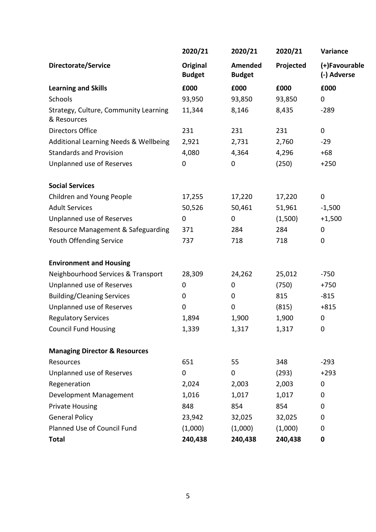|                                                      | 2020/21                          | 2020/21                  | 2020/21   | Variance                     |
|------------------------------------------------------|----------------------------------|--------------------------|-----------|------------------------------|
| Directorate/Service                                  | <b>Original</b><br><b>Budget</b> | Amended<br><b>Budget</b> | Projected | (+)Favourable<br>(-) Adverse |
| <b>Learning and Skills</b>                           | £000                             | £000                     | £000      | £000                         |
| Schools                                              | 93,950                           | 93,850                   | 93,850    | $\mathbf 0$                  |
| Strategy, Culture, Community Learning<br>& Resources | 11,344                           | 8,146                    | 8,435     | $-289$                       |
| <b>Directors Office</b>                              | 231                              | 231                      | 231       | $\pmb{0}$                    |
| Additional Learning Needs & Wellbeing                | 2,921                            | 2,731                    | 2,760     | $-29$                        |
| <b>Standards and Provision</b>                       | 4,080                            | 4,364                    | 4,296     | $+68$                        |
| Unplanned use of Reserves                            | 0                                | $\mathbf 0$              | (250)     | $+250$                       |
| <b>Social Services</b>                               |                                  |                          |           |                              |
| Children and Young People                            | 17,255                           | 17,220                   | 17,220    | 0                            |
| <b>Adult Services</b>                                | 50,526                           | 50,461                   | 51,961    | $-1,500$                     |
| Unplanned use of Reserves                            | 0                                | 0                        | (1,500)   | $+1,500$                     |
| Resource Management & Safeguarding                   | 371                              | 284                      | 284       | $\boldsymbol{0}$             |
| Youth Offending Service                              | 737                              | 718                      | 718       | 0                            |
| <b>Environment and Housing</b>                       |                                  |                          |           |                              |
| Neighbourhood Services & Transport                   | 28,309                           | 24,262                   | 25,012    | $-750$                       |
| Unplanned use of Reserves                            | 0                                | 0                        | (750)     | $+750$                       |
| <b>Building/Cleaning Services</b>                    | 0                                | $\pmb{0}$                | 815       | $-815$                       |
| Unplanned use of Reserves                            | 0                                | $\pmb{0}$                | (815)     | $+815$                       |
| <b>Regulatory Services</b>                           | 1,894                            | 1,900                    | 1,900     | 0                            |
| <b>Council Fund Housing</b>                          | 1,339                            | 1,317                    | 1,317     | 0                            |
| <b>Managing Director &amp; Resources</b>             |                                  |                          |           |                              |
| Resources                                            | 651                              | 55                       | 348       | $-293$                       |
| Unplanned use of Reserves                            | 0                                | $\mathbf 0$              | (293)     | $+293$                       |
| Regeneration                                         | 2,024                            | 2,003                    | 2,003     | $\mathbf 0$                  |
| Development Management                               | 1,016                            | 1,017                    | 1,017     | 0                            |
| <b>Private Housing</b>                               | 848                              | 854                      | 854       | 0                            |
| <b>General Policy</b>                                | 23,942                           | 32,025                   | 32,025    | 0                            |
| Planned Use of Council Fund                          | (1,000)                          | (1,000)                  | (1,000)   | 0                            |
| <b>Total</b>                                         | 240,438                          | 240,438                  | 240,438   | $\mathbf 0$                  |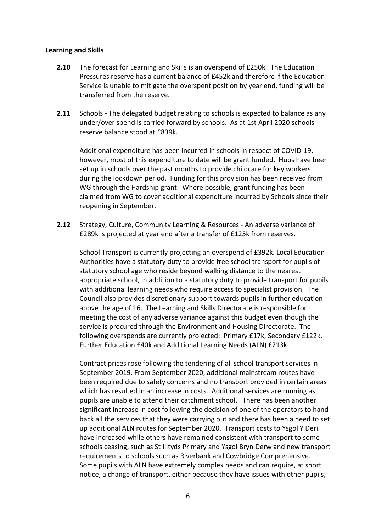#### **Learning and Skills**

- **2.10** The forecast for Learning and Skills is an overspend of £250k. The Education Pressures reserve has a current balance of £452k and therefore if the Education Service is unable to mitigate the overspent position by year end, funding will be transferred from the reserve.
- **2.11** Schools The delegated budget relating to schools is expected to balance as any under/over spend is carried forward by schools. As at 1st April 2020 schools reserve balance stood at £839k.

Additional expenditure has been incurred in schools in respect of COVID-19, however, most of this expenditure to date will be grant funded. Hubs have been set up in schools over the past months to provide childcare for key workers during the lockdown period. Funding for this provision has been received from WG through the Hardship grant. Where possible, grant funding has been claimed from WG to cover additional expenditure incurred by Schools since their reopening in September.

**2.12** Strategy, Culture, Community Learning & Resources - An adverse variance of £289k is projected at year end after a transfer of £125k from reserves.

School Transport is currently projecting an overspend of £392k. Local Education Authorities have a statutory duty to provide free school transport for pupils of statutory school age who reside beyond walking distance to the nearest appropriate school, in addition to a statutory duty to provide transport for pupils with additional learning needs who require access to specialist provision. The Council also provides discretionary support towards pupils in further education above the age of 16. The Learning and Skills Directorate is responsible for meeting the cost of any adverse variance against this budget even though the service is procured through the Environment and Housing Directorate. The following overspends are currently projected: Primary £17k, Secondary £122k, Further Education £40k and Additional Learning Needs (ALN) £213k.

Contract prices rose following the tendering of all school transport services in September 2019. From September 2020, additional mainstream routes have been required due to safety concerns and no transport provided in certain areas which has resulted in an increase in costs. Additional services are running as pupils are unable to attend their catchment school. There has been another significant increase in cost following the decision of one of the operators to hand back all the services that they were carrying out and there has been a need to set up additional ALN routes for September 2020. Transport costs to Ysgol Y Deri have increased while others have remained consistent with transport to some schools ceasing, such as St Illtyds Primary and Ysgol Bryn Derw and new transport requirements to schools such as Riverbank and Cowbridge Comprehensive. Some pupils with ALN have extremely complex needs and can require, at short notice, a change of transport, either because they have issues with other pupils,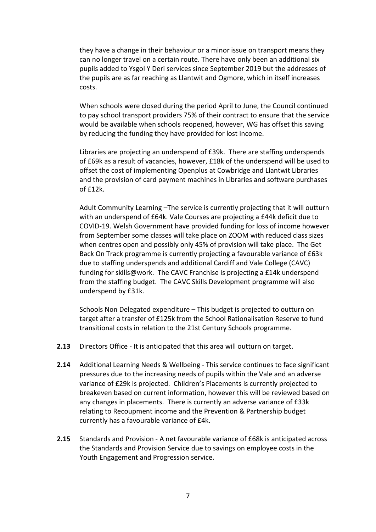they have a change in their behaviour or a minor issue on transport means they can no longer travel on a certain route. There have only been an additional six pupils added to Ysgol Y Deri services since September 2019 but the addresses of the pupils are as far reaching as Llantwit and Ogmore, which in itself increases costs.

When schools were closed during the period April to June, the Council continued to pay school transport providers 75% of their contract to ensure that the service would be available when schools reopened, however, WG has offset this saving by reducing the funding they have provided for lost income.

Libraries are projecting an underspend of £39k. There are staffing underspends of £69k as a result of vacancies, however, £18k of the underspend will be used to offset the cost of implementing Openplus at Cowbridge and Llantwit Libraries and the provision of card payment machines in Libraries and software purchases of £12k.

Adult Community Learning –The service is currently projecting that it will outturn with an underspend of £64k. Vale Courses are projecting a £44k deficit due to COVID-19. Welsh Government have provided funding for loss of income however from September some classes will take place on ZOOM with reduced class sizes when centres open and possibly only 45% of provision will take place. The Get Back On Track programme is currently projecting a favourable variance of £63k due to staffing underspends and additional Cardiff and Vale College (CAVC) funding for skills@work. The CAVC Franchise is projecting a £14k underspend from the staffing budget. The CAVC Skills Development programme will also underspend by £31k.

Schools Non Delegated expenditure – This budget is projected to outturn on target after a transfer of £125k from the School Rationalisation Reserve to fund transitional costs in relation to the 21st Century Schools programme.

- **2.13** Directors Office It is anticipated that this area will outturn on target.
- **2.14** Additional Learning Needs & Wellbeing This service continues to face significant pressures due to the increasing needs of pupils within the Vale and an adverse variance of £29k is projected. Children's Placements is currently projected to breakeven based on current information, however this will be reviewed based on any changes in placements. There is currently an adverse variance of £33k relating to Recoupment income and the Prevention & Partnership budget currently has a favourable variance of £4k.
- **2.15** Standards and Provision A net favourable variance of £68k is anticipated across the Standards and Provision Service due to savings on employee costs in the Youth Engagement and Progression service.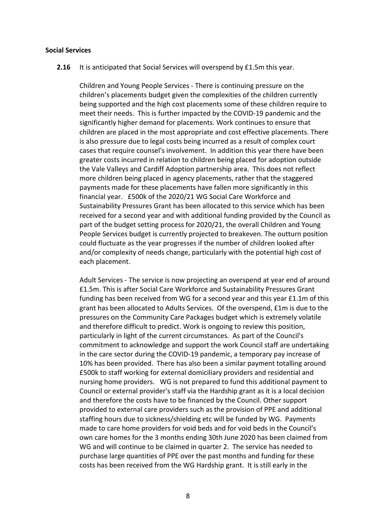#### **Social Services**

**2.16** It is anticipated that Social Services will overspend by £1.5m this year.

Children and Young People Services - There is continuing pressure on the children's placements budget given the complexities of the children currently being supported and the high cost placements some of these children require to meet their needs. This is further impacted by the COVID-19 pandemic and the significantly higher demand for placements. Work continues to ensure that children are placed in the most appropriate and cost effective placements. There is also pressure due to legal costs being incurred as a result of complex court cases that require counsel's involvement. In addition this year there have been greater costs incurred in relation to children being placed for adoption outside the Vale Valleys and Cardiff Adoption partnership area. This does not reflect more children being placed in agency placements, rather that the staggered payments made for these placements have fallen more significantly in this financial year. £500k of the 2020/21 WG Social Care Workforce and Sustainability Pressures Grant has been allocated to this service which has been received for a second year and with additional funding provided by the Council as part of the budget setting process for 2020/21, the overall Children and Young People Services budget is currently projected to breakeven. The outturn position could fluctuate as the year progresses if the number of children looked after and/or complexity of needs change, particularly with the potential high cost of each placement.

Adult Services - The service is now projecting an overspend at year end of around £1.5m. This is after Social Care Workforce and Sustainability Pressures Grant funding has been received from WG for a second year and this year £1.1m of this grant has been allocated to Adults Services. Of the overspend, £1m is due to the pressures on the Community Care Packages budget which is extremely volatile and therefore difficult to predict. Work is ongoing to review this position, particularly in light of the current circumstances. As part of the Council's commitment to acknowledge and support the work Council staff are undertaking in the care sector during the COVID-19 pandemic, a temporary pay increase of 10% has been provided. There has also been a similar payment totalling around £500k to staff working for external domiciliary providers and residential and nursing home providers. WG is not prepared to fund this additional payment to Council or external provider's staff via the Hardship grant as it is a local decision and therefore the costs have to be financed by the Council. Other support provided to external care providers such as the provision of PPE and additional staffing hours due to sickness/shielding etc will be funded by WG. Payments made to care home providers for void beds and for void beds in the Council's own care homes for the 3 months ending 30th June 2020 has been claimed from WG and will continue to be claimed in quarter 2. The service has needed to purchase large quantities of PPE over the past months and funding for these costs has been received from the WG Hardship grant. It is still early in the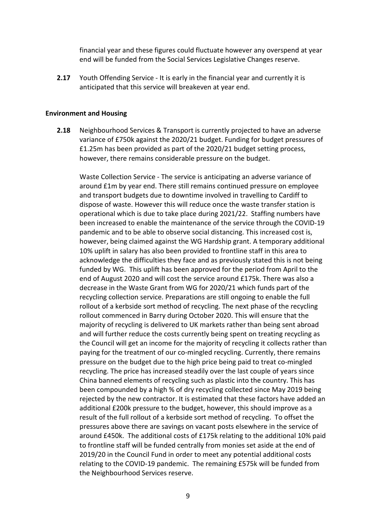financial year and these figures could fluctuate however any overspend at year end will be funded from the Social Services Legislative Changes reserve.

**2.17** Youth Offending Service - It is early in the financial year and currently it is anticipated that this service will breakeven at year end.

#### **Environment and Housing**

**2.18** Neighbourhood Services & Transport is currently projected to have an adverse variance of £750k against the 2020/21 budget. Funding for budget pressures of £1.25m has been provided as part of the 2020/21 budget setting process, however, there remains considerable pressure on the budget.

Waste Collection Service - The service is anticipating an adverse variance of around £1m by year end. There still remains continued pressure on employee and transport budgets due to downtime involved in travelling to Cardiff to dispose of waste. However this will reduce once the waste transfer station is operational which is due to take place during 2021/22. Staffing numbers have been increased to enable the maintenance of the service through the COVID-19 pandemic and to be able to observe social distancing. This increased cost is, however, being claimed against the WG Hardship grant. A temporary additional 10% uplift in salary has also been provided to frontline staff in this area to acknowledge the difficulties they face and as previously stated this is not being funded by WG. This uplift has been approved for the period from April to the end of August 2020 and will cost the service around £175k. There was also a decrease in the Waste Grant from WG for 2020/21 which funds part of the recycling collection service. Preparations are still ongoing to enable the full rollout of a kerbside sort method of recycling. The next phase of the recycling rollout commenced in Barry during October 2020. This will ensure that the majority of recycling is delivered to UK markets rather than being sent abroad and will further reduce the costs currently being spent on treating recycling as the Council will get an income for the majority of recycling it collects rather than paying for the treatment of our co-mingled recycling. Currently, there remains pressure on the budget due to the high price being paid to treat co-mingled recycling. The price has increased steadily over the last couple of years since China banned elements of recycling such as plastic into the country. This has been compounded by a high % of dry recycling collected since May 2019 being rejected by the new contractor. It is estimated that these factors have added an additional £200k pressure to the budget, however, this should improve as a result of the full rollout of a kerbside sort method of recycling. To offset the pressures above there are savings on vacant posts elsewhere in the service of around £450k. The additional costs of £175k relating to the additional 10% paid to frontline staff will be funded centrally from monies set aside at the end of 2019/20 in the Council Fund in order to meet any potential additional costs relating to the COVID-19 pandemic. The remaining £575k will be funded from the Neighbourhood Services reserve.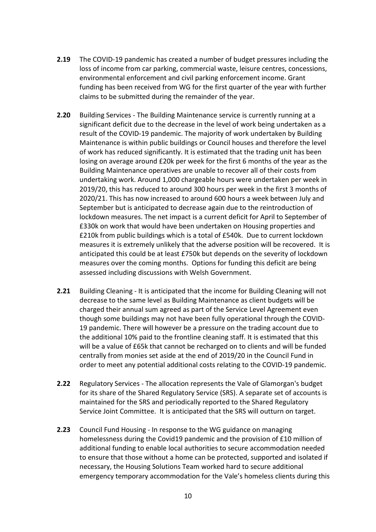- **2.19** The COVID-19 pandemic has created a number of budget pressures including the loss of income from car parking, commercial waste, leisure centres, concessions, environmental enforcement and civil parking enforcement income. Grant funding has been received from WG for the first quarter of the year with further claims to be submitted during the remainder of the year.
- **2.20** Building Services The Building Maintenance service is currently running at a significant deficit due to the decrease in the level of work being undertaken as a result of the COVID-19 pandemic. The majority of work undertaken by Building Maintenance is within public buildings or Council houses and therefore the level of work has reduced significantly. It is estimated that the trading unit has been losing on average around £20k per week for the first 6 months of the year as the Building Maintenance operatives are unable to recover all of their costs from undertaking work. Around 1,000 chargeable hours were undertaken per week in 2019/20, this has reduced to around 300 hours per week in the first 3 months of 2020/21. This has now increased to around 600 hours a week between July and September but is anticipated to decrease again due to the reintroduction of lockdown measures. The net impact is a current deficit for April to September of £330k on work that would have been undertaken on Housing properties and £210k from public buildings which is a total of £540k. Due to current lockdown measures it is extremely unlikely that the adverse position will be recovered. It is anticipated this could be at least £750k but depends on the severity of lockdown measures over the coming months. Options for funding this deficit are being assessed including discussions with Welsh Government.
- **2.21** Building Cleaning It is anticipated that the income for Building Cleaning will not decrease to the same level as Building Maintenance as client budgets will be charged their annual sum agreed as part of the Service Level Agreement even though some buildings may not have been fully operational through the COVID-19 pandemic. There will however be a pressure on the trading account due to the additional 10% paid to the frontline cleaning staff. It is estimated that this will be a value of £65k that cannot be recharged on to clients and will be funded centrally from monies set aside at the end of 2019/20 in the Council Fund in order to meet any potential additional costs relating to the COVID-19 pandemic.
- **2.22** Regulatory Services The allocation represents the Vale of Glamorgan's budget for its share of the Shared Regulatory Service (SRS). A separate set of accounts is maintained for the SRS and periodically reported to the Shared Regulatory Service Joint Committee. It is anticipated that the SRS will outturn on target.
- **2.23** Council Fund Housing In response to the WG guidance on managing homelessness during the Covid19 pandemic and the provision of £10 million of additional funding to enable local authorities to secure accommodation needed to ensure that those without a home can be protected, supported and isolated if necessary, the Housing Solutions Team worked hard to secure additional emergency temporary accommodation for the Vale's homeless clients during this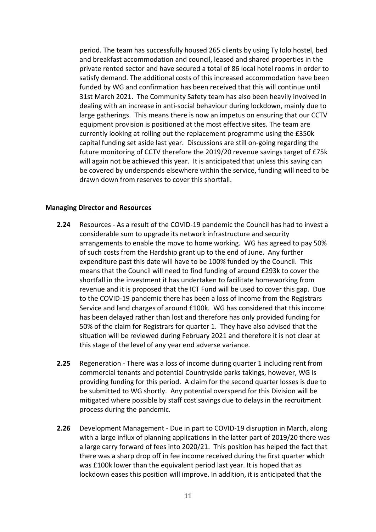period. The team has successfully housed 265 clients by using Ty Iolo hostel, bed and breakfast accommodation and council, leased and shared properties in the private rented sector and have secured a total of 86 local hotel rooms in order to satisfy demand. The additional costs of this increased accommodation have been funded by WG and confirmation has been received that this will continue until 31st March 2021. The Community Safety team has also been heavily involved in dealing with an increase in anti-social behaviour during lockdown, mainly due to large gatherings. This means there is now an impetus on ensuring that our CCTV equipment provision is positioned at the most effective sites. The team are currently looking at rolling out the replacement programme using the £350k capital funding set aside last year. Discussions are still on-going regarding the future monitoring of CCTV therefore the 2019/20 revenue savings target of £75k will again not be achieved this year. It is anticipated that unless this saving can be covered by underspends elsewhere within the service, funding will need to be drawn down from reserves to cover this shortfall.

### **Managing Director and Resources**

- **2.24** Resources As a result of the COVID-19 pandemic the Council has had to invest a considerable sum to upgrade its network infrastructure and security arrangements to enable the move to home working. WG has agreed to pay 50% of such costs from the Hardship grant up to the end of June. Any further expenditure past this date will have to be 100% funded by the Council. This means that the Council will need to find funding of around £293k to cover the shortfall in the investment it has undertaken to facilitate homeworking from revenue and it is proposed that the ICT Fund will be used to cover this gap. Due to the COVID-19 pandemic there has been a loss of income from the Registrars Service and land charges of around £100k. WG has considered that this income has been delayed rather than lost and therefore has only provided funding for 50% of the claim for Registrars for quarter 1. They have also advised that the situation will be reviewed during February 2021 and therefore it is not clear at this stage of the level of any year end adverse variance.
- **2.25** Regeneration There was a loss of income during quarter 1 including rent from commercial tenants and potential Countryside parks takings, however, WG is providing funding for this period. A claim for the second quarter losses is due to be submitted to WG shortly. Any potential overspend for this Division will be mitigated where possible by staff cost savings due to delays in the recruitment process during the pandemic.
- **2.26** Development Management Due in part to COVID-19 disruption in March, along with a large influx of planning applications in the latter part of 2019/20 there was a large carry forward of fees into 2020/21. This position has helped the fact that there was a sharp drop off in fee income received during the first quarter which was £100k lower than the equivalent period last year. It is hoped that as lockdown eases this position will improve. In addition, it is anticipated that the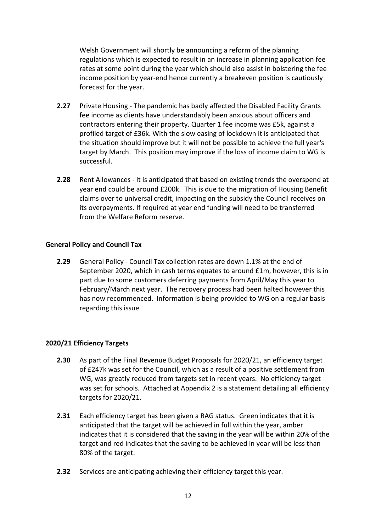Welsh Government will shortly be announcing a reform of the planning regulations which is expected to result in an increase in planning application fee rates at some point during the year which should also assist in bolstering the fee income position by year-end hence currently a breakeven position is cautiously forecast for the year.

- **2.27** Private Housing The pandemic has badly affected the Disabled Facility Grants fee income as clients have understandably been anxious about officers and contractors entering their property. Quarter 1 fee income was £5k, against a profiled target of £36k. With the slow easing of lockdown it is anticipated that the situation should improve but it will not be possible to achieve the full year's target by March. This position may improve if the loss of income claim to WG is successful.
- **2.28** Rent Allowances It is anticipated that based on existing trends the overspend at year end could be around £200k. This is due to the migration of Housing Benefit claims over to universal credit, impacting on the subsidy the Council receives on its overpayments. If required at year end funding will need to be transferred from the Welfare Reform reserve.

### **General Policy and Council Tax**

**2.29** General Policy - Council Tax collection rates are down 1.1% at the end of September 2020, which in cash terms equates to around £1m, however, this is in part due to some customers deferring payments from April/May this year to February/March next year. The recovery process had been halted however this has now recommenced. Information is being provided to WG on a regular basis regarding this issue.

### **2020/21 Efficiency Targets**

- **2.30** As part of the Final Revenue Budget Proposals for 2020/21, an efficiency target of £247k was set for the Council, which as a result of a positive settlement from WG, was greatly reduced from targets set in recent years. No efficiency target was set for schools. Attached at Appendix 2 is a statement detailing all efficiency targets for 2020/21.
- **2.31** Each efficiency target has been given a RAG status. Green indicates that it is anticipated that the target will be achieved in full within the year, amber indicates that it is considered that the saving in the year will be within 20% of the target and red indicates that the saving to be achieved in year will be less than 80% of the target.
- **2.32** Services are anticipating achieving their efficiency target this year.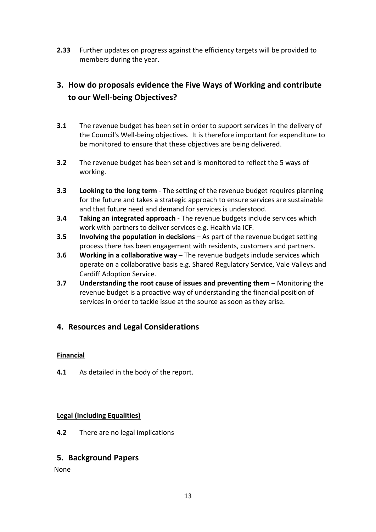**2.33** Further updates on progress against the efficiency targets will be provided to members during the year.

# **3. How do proposals evidence the Five Ways of Working and contribute to our Well-being Objectives?**

- **3.1** The revenue budget has been set in order to support services in the delivery of the Council's Well-being objectives. It is therefore important for expenditure to be monitored to ensure that these objectives are being delivered.
- **3.2** The revenue budget has been set and is monitored to reflect the 5 ways of working.
- **3.3 Looking to the long term** The setting of the revenue budget requires planning for the future and takes a strategic approach to ensure services are sustainable and that future need and demand for services is understood.
- **3.4 Taking an integrated approach** The revenue budgets include services which work with partners to deliver services e.g. Health via ICF.
- **3.5 Involving the population in decisions** As part of the revenue budget setting process there has been engagement with residents, customers and partners.
- **3.6 Working in a collaborative way** The revenue budgets include services which operate on a collaborative basis e.g. Shared Regulatory Service, Vale Valleys and Cardiff Adoption Service.
- **3.7 Understanding the root cause of issues and preventing them** Monitoring the revenue budget is a proactive way of understanding the financial position of services in order to tackle issue at the source as soon as they arise.

## **4. Resources and Legal Considerations**

## **Financial**

**4.1** As detailed in the body of the report.

## **Legal (Including Equalities)**

**4.2** There are no legal implications

## **5. Background Papers**

None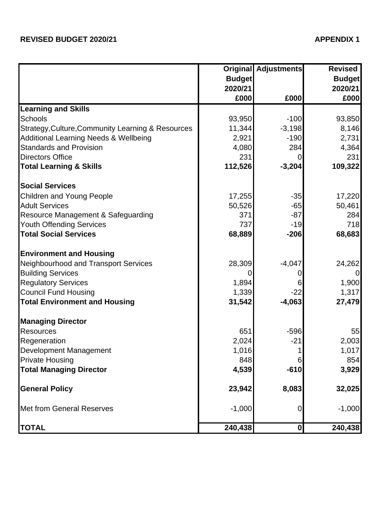|                                                   |               | <b>Original Adjustments</b> | <b>Revised</b> |
|---------------------------------------------------|---------------|-----------------------------|----------------|
|                                                   | <b>Budget</b> |                             | <b>Budget</b>  |
|                                                   | 2020/21       |                             | 2020/21        |
|                                                   | £000          | £000                        | £000           |
| <b>Learning and Skills</b>                        |               |                             |                |
| <b>Schools</b>                                    | 93,950        | $-100$                      | 93,850         |
| Strategy, Culture, Community Learning & Resources | 11,344        | $-3,198$                    | 8,146          |
| <b>Additional Learning Needs &amp; Wellbeing</b>  | 2,921         | $-190$                      | 2,731          |
| <b>Standards and Provision</b>                    | 4,080         | 284                         | 4,364          |
| <b>Directors Office</b>                           | 231           |                             | 231            |
| <b>Total Learning &amp; Skills</b>                | 112,526       | $-3,204$                    | 109,322        |
| <b>Social Services</b>                            |               |                             |                |
| <b>Children and Young People</b>                  | 17,255        | $-35$                       | 17,220         |
| <b>Adult Services</b>                             | 50,526        | $-65$                       | 50,461         |
| Resource Management & Safeguarding                | 371           | $-87$                       | 284            |
| <b>Youth Offending Services</b>                   | 737           | $-19$                       | 718            |
| <b>Total Social Services</b>                      | 68,889        | $-206$                      | 68,683         |
| <b>Environment and Housing</b>                    |               |                             |                |
| Neighbourhood and Transport Services              | 28,309        | $-4,047$                    | 24,262         |
| <b>Building Services</b>                          | 0             | O)                          | $\overline{0}$ |
| <b>Regulatory Services</b>                        | 1,894         |                             | 1,900          |
| <b>Council Fund Housing</b>                       | 1,339         | $-22$                       | 1,317          |
| <b>Total Environment and Housing</b>              | 31,542        | $-4,063$                    | 27,479         |
| <b>Managing Director</b>                          |               |                             |                |
| <b>Resources</b>                                  | 651           | $-596$                      | 55             |
| Regeneration                                      | 2,024         | $-21$                       | 2,003          |
| Development Management                            | 1,016         |                             | 1,017          |
| <b>Private Housing</b>                            | 848           | 6                           | 854            |
| <b>Total Managing Director</b>                    | 4,539         | $-610$                      | 3,929          |
| <b>General Policy</b>                             | 23,942        | 8,083                       | 32,025         |
| <b>Met from General Reserves</b>                  | $-1,000$      | 0                           | $-1,000$       |
| <b>TOTAL</b>                                      | 240,438       | 0                           | 240,438        |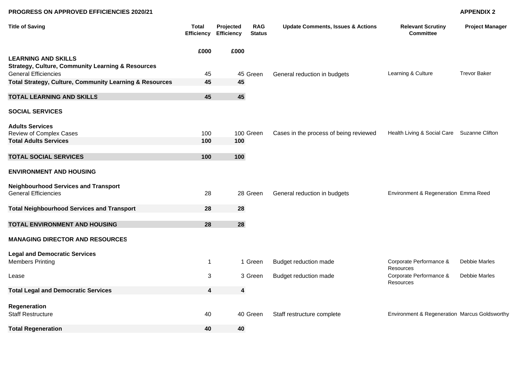#### **PROGRESS ON APPROVED EFFICIENCIES 2020/21**

#### **APPENDIX 2**

| <b>Title of Saving</b>                                                                      | <b>Total</b> | Projected<br><b>Efficiency Efficiency</b> | <b>RAG</b><br><b>Status</b> | <b>Update Comments, Issues &amp; Actions</b> | <b>Relevant Scrutiny</b><br><b>Committee</b>  | <b>Project Manager</b> |
|---------------------------------------------------------------------------------------------|--------------|-------------------------------------------|-----------------------------|----------------------------------------------|-----------------------------------------------|------------------------|
| <b>LEARNING AND SKILLS</b>                                                                  | £000         | £000                                      |                             |                                              |                                               |                        |
| <b>Strategy, Culture, Community Learning &amp; Resources</b><br><b>General Efficiencies</b> | 45           |                                           | 45 Green                    | General reduction in budgets                 | Learning & Culture                            | <b>Trevor Baker</b>    |
| Total Strategy, Culture, Community Learning & Resources                                     | 45           | 45                                        |                             |                                              |                                               |                        |
| <b>TOTAL LEARNING AND SKILLS</b>                                                            | 45           | 45                                        |                             |                                              |                                               |                        |
| <b>SOCIAL SERVICES</b>                                                                      |              |                                           |                             |                                              |                                               |                        |
| <b>Adults Services</b><br>Review of Complex Cases                                           | 100          |                                           | 100 Green                   | Cases in the process of being reviewed       | Health Living & Social Care Suzanne Clifton   |                        |
| <b>Total Adults Services</b>                                                                | 100          | 100                                       |                             |                                              |                                               |                        |
| <b>TOTAL SOCIAL SERVICES</b>                                                                | 100          | 100                                       |                             |                                              |                                               |                        |
| <b>ENVIRONMENT AND HOUSING</b>                                                              |              |                                           |                             |                                              |                                               |                        |
| <b>Neighbourhood Services and Transport</b><br><b>General Efficiencies</b>                  | 28           |                                           | 28 Green                    | General reduction in budgets                 | Environment & Regeneration Emma Reed          |                        |
| <b>Total Neighbourhood Services and Transport</b>                                           | 28           | 28                                        |                             |                                              |                                               |                        |
| TOTAL ENVIRONMENT AND HOUSING                                                               | 28           | 28                                        |                             |                                              |                                               |                        |
| <b>MANAGING DIRECTOR AND RESOURCES</b>                                                      |              |                                           |                             |                                              |                                               |                        |
| <b>Legal and Democratic Services</b><br><b>Members Printing</b>                             | $\mathbf{1}$ |                                           | 1 Green                     | Budget reduction made                        | Corporate Performance &                       | Debbie Marles          |
| Lease                                                                                       | 3            |                                           | 3 Green                     | Budget reduction made                        | Resources<br>Corporate Performance &          | Debbie Marles          |
| <b>Total Legal and Democratic Services</b>                                                  | 4            | $\overline{\mathbf{4}}$                   |                             |                                              | Resources                                     |                        |
|                                                                                             |              |                                           |                             |                                              |                                               |                        |
| Regeneration<br><b>Staff Restructure</b>                                                    | 40           |                                           | 40 Green                    | Staff restructure complete                   | Environment & Regeneration Marcus Goldsworthy |                        |
| <b>Total Regeneration</b>                                                                   | 40           | 40                                        |                             |                                              |                                               |                        |